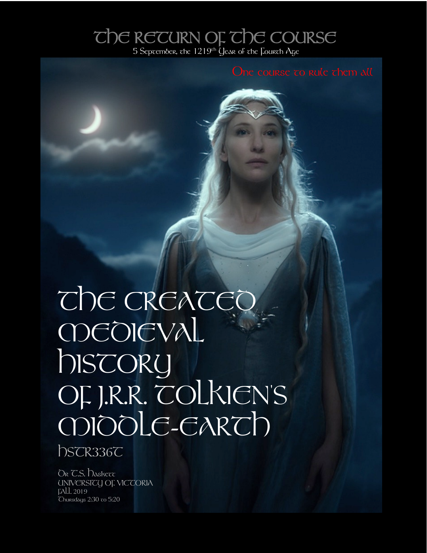## THE RETURN OF THE COURSE

# THE CREATEC **MDEDIEVAL** history OF J.R.R. TOLKIEN'S MIDDLE-EARTH

hSCR336C

DR C.S. Daskett UNIVERSITY OF VICTORIA FALL 2019  $Chursdays$   $2:30$  to  $5:20$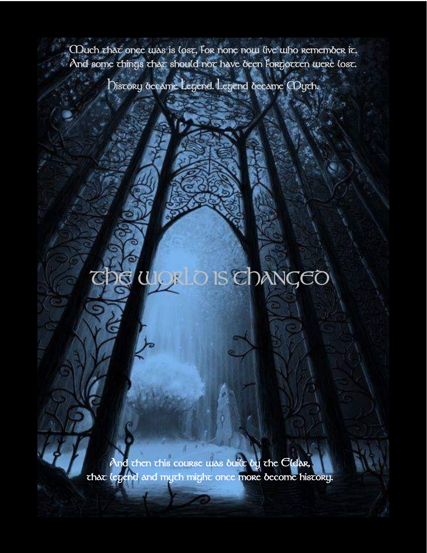CDuch that once was is lost, for none now live who remember it. And some things that should not have been Forgotten were lost.

History became Legend. Legend became Myth.

### The WORLD IS CHANGED

 $\lambda$ nd then this course was built by the  $C$ ldar, that legend and myth might once more become history.